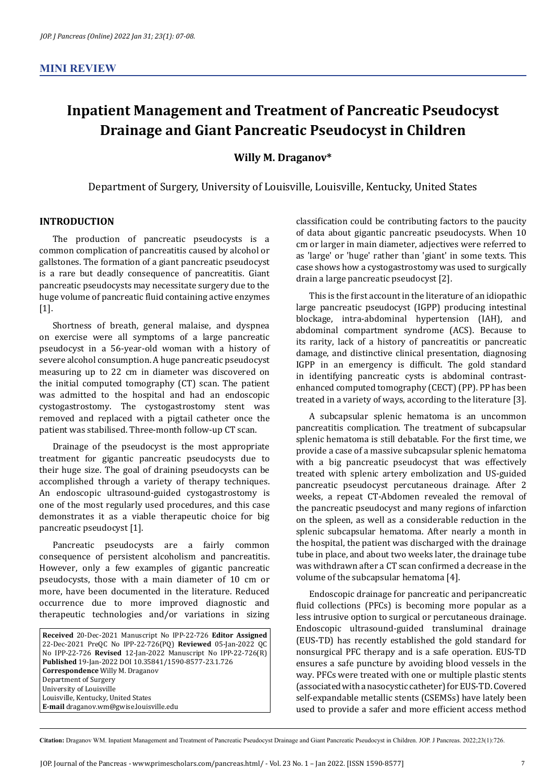## **Inpatient Management and Treatment of Pancreatic Pseudocyst Drainage and Giant Pancreatic Pseudocyst in Children**

**Willy M. Draganov\***

Department of Surgery, University of Louisville, Louisville, Kentucky, United States

## **INTRODUCTION**

The production of pancreatic pseudocysts is a common complication of pancreatitis caused by alcohol or gallstones. The formation of a giant pancreatic pseudocyst is a rare but deadly consequence of pancreatitis. Giant pancreatic pseudocysts may necessitate surgery due to the huge volume of pancreatic fluid containing active enzymes [1].

Shortness of breath, general malaise, and dyspnea on exercise were all symptoms of a large pancreatic pseudocyst in a 56-year-old woman with a history of severe alcohol consumption. A huge pancreatic pseudocyst measuring up to 22 cm in diameter was discovered on the initial computed tomography (CT) scan. The patient was admitted to the hospital and had an endoscopic cystogastrostomy. The cystogastrostomy stent was removed and replaced with a pigtail catheter once the patient was stabilised. Three-month follow-up CT scan.

Drainage of the pseudocyst is the most appropriate treatment for gigantic pancreatic pseudocysts due to their huge size. The goal of draining pseudocysts can be accomplished through a variety of therapy techniques. An endoscopic ultrasound-guided cystogastrostomy is one of the most regularly used procedures, and this case demonstrates it as a viable therapeutic choice for big pancreatic pseudocyst [1].

Pancreatic pseudocysts are a fairly common consequence of persistent alcoholism and pancreatitis. However, only a few examples of gigantic pancreatic pseudocysts, those with a main diameter of 10 cm or more, have been documented in the literature. Reduced occurrence due to more improved diagnostic and therapeutic technologies and/or variations in sizing

**Received** 20-Dec-2021 Manuscript No IPP-22-726 **Editor Assigned**  22-Dec-2021 PreQC No IPP-22-726(PQ) **Reviewed** 05-Jan-2022 QC No IPP-22-726 **Revised** 12-Jan-2022 Manuscript No IPP-22-726(R) **Published** 19-Jan-2022 DOI 10.35841/1590-8577-23.1.726 **Correspondence** Willy M. Draganov Department of Surgery University of Louisville Louisville, Kentucky, United States **E-mail** draganov.wm@gwise.louisville.edu

classification could be contributing factors to the paucity of data about gigantic pancreatic pseudocysts. When 10 cm or larger in main diameter, adjectives were referred to as 'large' or 'huge' rather than 'giant' in some texts. This case shows how a cystogastrostomy was used to surgically drain a large pancreatic pseudocyst [2].

This is the first account in the literature of an idiopathic large pancreatic pseudocyst (IGPP) producing intestinal blockage, intra-abdominal hypertension (IAH), and abdominal compartment syndrome (ACS). Because to its rarity, lack of a history of pancreatitis or pancreatic damage, and distinctive clinical presentation, diagnosing IGPP in an emergency is difficult. The gold standard in identifying pancreatic cysts is abdominal contrastenhanced computed tomography (CECT) (PP). PP has been treated in a variety of ways, according to the literature [3].

A subcapsular splenic hematoma is an uncommon pancreatitis complication. The treatment of subcapsular splenic hematoma is still debatable. For the first time, we provide a case of a massive subcapsular splenic hematoma with a big pancreatic pseudocyst that was effectively treated with splenic artery embolization and US-guided pancreatic pseudocyst percutaneous drainage. After 2 weeks, a repeat CT-Abdomen revealed the removal of the pancreatic pseudocyst and many regions of infarction on the spleen, as well as a considerable reduction in the splenic subcapsular hematoma. After nearly a month in the hospital, the patient was discharged with the drainage tube in place, and about two weeks later, the drainage tube was withdrawn after a CT scan confirmed a decrease in the volume of the subcapsular hematoma [4].

Endoscopic drainage for pancreatic and peripancreatic fluid collections (PFCs) is becoming more popular as a less intrusive option to surgical or percutaneous drainage. Endoscopic ultrasound-guided transluminal drainage (EUS-TD) has recently established the gold standard for nonsurgical PFC therapy and is a safe operation. EUS-TD ensures a safe puncture by avoiding blood vessels in the way. PFCs were treated with one or multiple plastic stents (associated with a nasocystic catheter) for EUS-TD. Covered self-expandable metallic stents (CSEMSs) have lately been used to provide a safer and more efficient access method

**Citation:** Draganov WM. Inpatient Management and Treatment of Pancreatic Pseudocyst Drainage and Giant Pancreatic Pseudocyst in Children. JOP. J Pancreas. 2022;23(1):726.